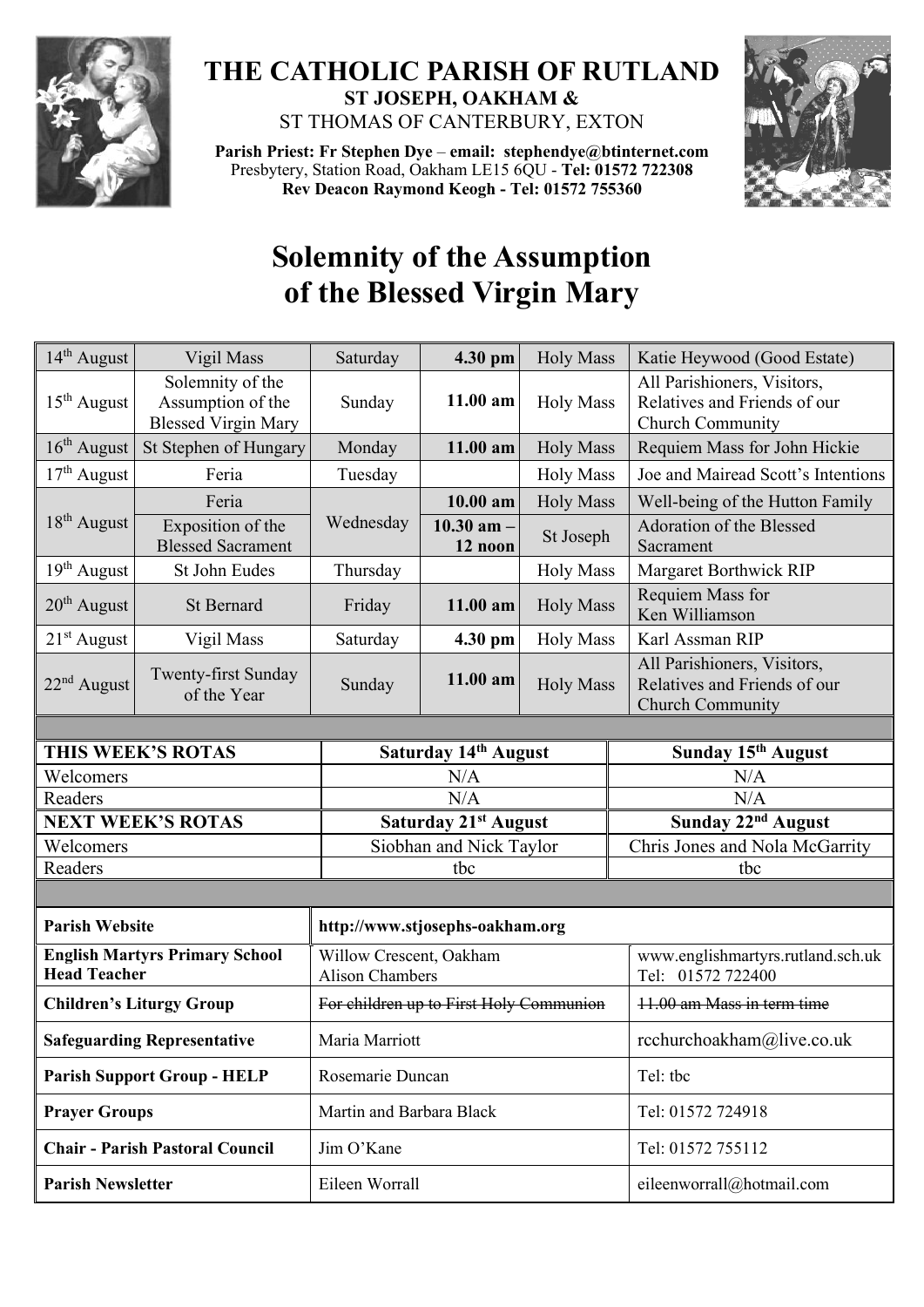

## **THE CATHOLIC PARISH OF RUTLAND ST JOSEPH, OAKHAM &**  ST THOMAS OF CANTERBURY, EXTON

**Parish Priest: Fr Stephen Dye** – **[email: stephendye@btinternet.com](mailto:email:%20%20stephendye@btinternet.com)** Presbytery, Station Road, Oakham LE15 6QU - **Tel: 01572 722308 Rev Deacon Raymond Keogh - Tel: 01572 755360**



## **Solemnity of the Assumption of the Blessed Virgin Mary**

| 14 <sup>th</sup> August                                      | Vigil Mass                                                          | Saturday                                          | 4.30 pm                 | <b>Holy Mass</b> | Katie Heywood (Good Estate)                                                            |  |  |
|--------------------------------------------------------------|---------------------------------------------------------------------|---------------------------------------------------|-------------------------|------------------|----------------------------------------------------------------------------------------|--|--|
| $15th$ August                                                | Solemnity of the<br>Assumption of the<br><b>Blessed Virgin Mary</b> | Sunday                                            | 11.00 am                | <b>Holy Mass</b> | All Parishioners, Visitors,<br>Relatives and Friends of our<br>Church Community        |  |  |
| $16th$ August                                                | St Stephen of Hungary                                               | Monday                                            | $11.00$ am              | <b>Holy Mass</b> | Requiem Mass for John Hickie                                                           |  |  |
| $17th$ August                                                | Feria                                                               | Tuesday                                           |                         | <b>Holy Mass</b> | Joe and Mairead Scott's Intentions                                                     |  |  |
| 18 <sup>th</sup> August                                      | Feria                                                               | Wednesday                                         | 10.00 am                | <b>Holy Mass</b> | Well-being of the Hutton Family                                                        |  |  |
|                                                              | Exposition of the<br><b>Blessed Sacrament</b>                       |                                                   | 10.30 am $-$<br>12 noon | St Joseph        | Adoration of the Blessed<br>Sacrament                                                  |  |  |
| 19 <sup>th</sup> August                                      | St John Eudes                                                       | Thursday                                          |                         | <b>Holy Mass</b> | Margaret Borthwick RIP                                                                 |  |  |
| $20th$ August                                                | <b>St Bernard</b>                                                   | Friday                                            | 11.00 am                | <b>Holy Mass</b> | <b>Requiem Mass for</b><br>Ken Williamson                                              |  |  |
| $21st$ August                                                | Vigil Mass                                                          | Saturday                                          | 4.30 pm                 | <b>Holy Mass</b> | Karl Assman RIP                                                                        |  |  |
| $22nd$ August                                                | Twenty-first Sunday<br>of the Year                                  | Sunday                                            | 11.00 am                | <b>Holy Mass</b> | All Parishioners, Visitors,<br>Relatives and Friends of our<br><b>Church Community</b> |  |  |
|                                                              |                                                                     |                                                   |                         |                  |                                                                                        |  |  |
| THIS WEEK'S ROTAS                                            |                                                                     | Saturday 14th August                              |                         |                  | Sunday 15 <sup>th</sup> August                                                         |  |  |
| Welcomers                                                    |                                                                     | N/A                                               |                         |                  | N/A                                                                                    |  |  |
| Readers                                                      |                                                                     | N/A                                               |                         |                  | N/A                                                                                    |  |  |
| <b>NEXT WEEK'S ROTAS</b><br>Welcomers                        |                                                                     | Saturday 21st August<br>Siobhan and Nick Taylor   |                         |                  | Sunday 22 <sup>nd</sup> August<br>Chris Jones and Nola McGarrity                       |  |  |
| Readers                                                      |                                                                     | tbc                                               |                         |                  | tbc                                                                                    |  |  |
|                                                              |                                                                     |                                                   |                         |                  |                                                                                        |  |  |
| <b>Parish Website</b><br>http://www.stjosephs-oakham.org     |                                                                     |                                                   |                         |                  |                                                                                        |  |  |
| <b>English Martyrs Primary School</b><br><b>Head Teacher</b> |                                                                     | Willow Crescent, Oakham<br><b>Alison Chambers</b> |                         |                  | www.englishmartyrs.rutland.sch.uk<br>Tel: 01572 722400                                 |  |  |
| <b>Children's Liturgy Group</b>                              |                                                                     | For children up to First Holy Communion           |                         |                  | 11.00 am Mass in term time                                                             |  |  |
| <b>Safeguarding Representative</b>                           |                                                                     | Maria Marriott                                    |                         |                  | rcchurchoakham@live.co.uk                                                              |  |  |
| <b>Parish Support Group - HELP</b>                           |                                                                     | Rosemarie Duncan                                  |                         |                  | Tel: tbc                                                                               |  |  |
| <b>Prayer Groups</b>                                         |                                                                     | Martin and Barbara Black                          |                         |                  | Tel: 01572 724918                                                                      |  |  |
| <b>Chair - Parish Pastoral Council</b>                       |                                                                     | Jim O'Kane                                        |                         |                  | Tel: 01572 755112                                                                      |  |  |
| <b>Parish Newsletter</b>                                     |                                                                     | Eileen Worrall                                    |                         |                  | eileenworrall@hotmail.com                                                              |  |  |